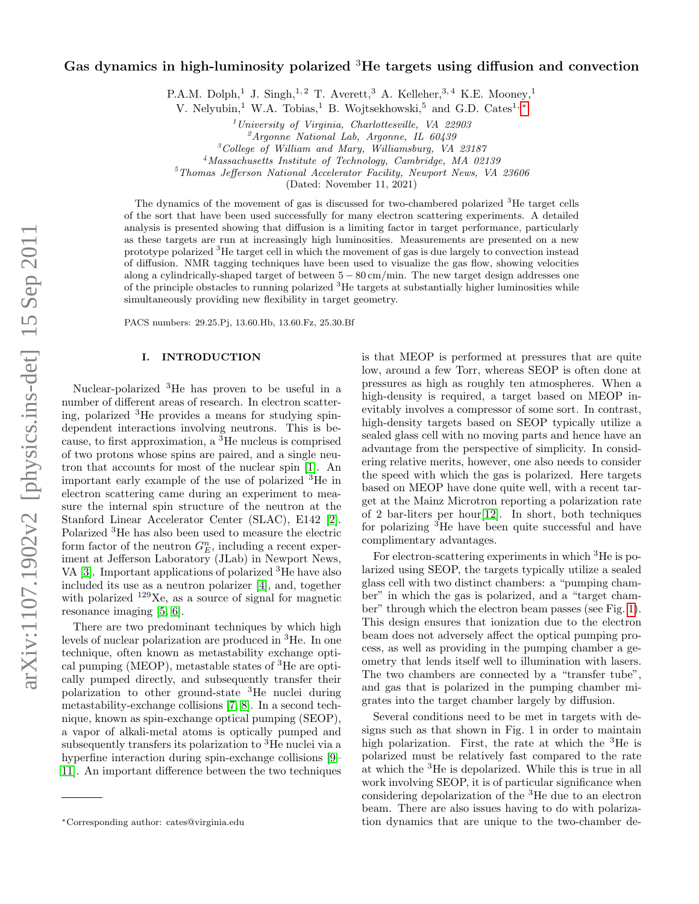# Gas dynamics in high-luminosity polarized <sup>3</sup>He targets using diffusion and convection

P.A.M. Dolph,<sup>1</sup> J. Singh,<sup>1,2</sup> T. Averett,<sup>3</sup> A. Kelleher,<sup>3,4</sup> K.E. Mooney,<sup>1</sup>

V. Nelyubin,<sup>1</sup> W.A. Tobias,<sup>1</sup> B. Wojtsekhowski,<sup>5</sup> and G.D. Cates<sup>1, [∗](#page-0-0)</sup>

 $1$ University of Virginia, Charlottesville, VA 22903

 ${}^2$ Argonne National Lab, Argonne, IL 60439

<sup>3</sup>College of William and Mary, Williamsburg, VA 23187

<sup>4</sup>Massachusetts Institute of Technology, Cambridge, MA 02139

<sup>5</sup>Thomas Jefferson National Accelerator Facility, Newport News, VA 23606

(Dated: November 11, 2021)

The dynamics of the movement of gas is discussed for two-chambered polarized <sup>3</sup>He target cells of the sort that have been used successfully for many electron scattering experiments. A detailed analysis is presented showing that diffusion is a limiting factor in target performance, particularly as these targets are run at increasingly high luminosities. Measurements are presented on a new prototype polarized <sup>3</sup>He target cell in which the movement of gas is due largely to convection instead of diffusion. NMR tagging techniques have been used to visualize the gas flow, showing velocities along a cylindrically-shaped target of between 5 − 80 cm/min. The new target design addresses one of the principle obstacles to running polarized <sup>3</sup>He targets at substantially higher luminosities while simultaneously providing new flexibility in target geometry.

PACS numbers: 29.25.Pj, 13.60.Hb, 13.60.Fz, 25.30.Bf

## I. INTRODUCTION

Nuclear-polarized <sup>3</sup>He has proven to be useful in a number of different areas of research. In electron scattering, polarized  ${}^{3}$ He provides a means for studying spindependent interactions involving neutrons. This is because, to first approximation, a <sup>3</sup>He nucleus is comprised of two protons whose spins are paired, and a single neutron that accounts for most of the nuclear spin [\[1\]](#page-13-0). An important early example of the use of polarized <sup>3</sup>He in electron scattering came during an experiment to measure the internal spin structure of the neutron at the Stanford Linear Accelerator Center (SLAC), E142 [\[2\]](#page-13-1). Polarized <sup>3</sup>He has also been used to measure the electric form factor of the neutron  $G_E^n$ , including a recent experiment at Jefferson Laboratory (JLab) in Newport News, VA [\[3\]](#page-13-2). Important applications of polarized <sup>3</sup>He have also included its use as a neutron polarizer [\[4\]](#page-13-3), and, together with polarized <sup>129</sup>Xe, as a source of signal for magnetic resonance imaging [\[5,](#page-13-4) [6\]](#page-13-5).

There are two predominant techniques by which high levels of nuclear polarization are produced in <sup>3</sup>He. In one technique, often known as metastability exchange optical pumping (MEOP), metastable states of <sup>3</sup>He are optically pumped directly, and subsequently transfer their polarization to other ground-state <sup>3</sup>He nuclei during metastability-exchange collisions [\[7,](#page-13-6) [8\]](#page-13-7). In a second technique, known as spin-exchange optical pumping (SEOP), a vapor of alkali-metal atoms is optically pumped and subsequently transfers its polarization to <sup>3</sup>He nuclei via a hyperfine interaction during spin-exchange collisions [\[9–](#page-13-8) [11\]](#page-13-9). An important difference between the two techniques

is that MEOP is performed at pressures that are quite low, around a few Torr, whereas SEOP is often done at pressures as high as roughly ten atmospheres. When a high-density is required, a target based on MEOP inevitably involves a compressor of some sort. In contrast, high-density targets based on SEOP typically utilize a sealed glass cell with no moving parts and hence have an advantage from the perspective of simplicity. In considering relative merits, however, one also needs to consider the speed with which the gas is polarized. Here targets based on MEOP have done quite well, with a recent target at the Mainz Microtron reporting a polarization rate of 2 bar-liters per hour[\[12\]](#page-13-10). In short, both techniques for polarizing <sup>3</sup>He have been quite successful and have complimentary advantages.

For electron-scattering experiments in which <sup>3</sup>He is polarized using SEOP, the targets typically utilize a sealed glass cell with two distinct chambers: a "pumping chamber" in which the gas is polarized, and a "target chamber" through which the electron beam passes (see Fig. [1\)](#page-1-0). This design ensures that ionization due to the electron beam does not adversely affect the optical pumping process, as well as providing in the pumping chamber a geometry that lends itself well to illumination with lasers. The two chambers are connected by a "transfer tube", and gas that is polarized in the pumping chamber migrates into the target chamber largely by diffusion.

Several conditions need to be met in targets with designs such as that shown in Fig. 1 in order to maintain high polarization. First, the rate at which the  ${}^{3}$ He is polarized must be relatively fast compared to the rate at which the <sup>3</sup>He is depolarized. While this is true in all work involving SEOP, it is of particular significance when considering depolarization of the <sup>3</sup>He due to an electron beam. There are also issues having to do with polarization dynamics that are unique to the two-chamber de-

<span id="page-0-0"></span><sup>∗</sup>Corresponding author: cates@virginia.edu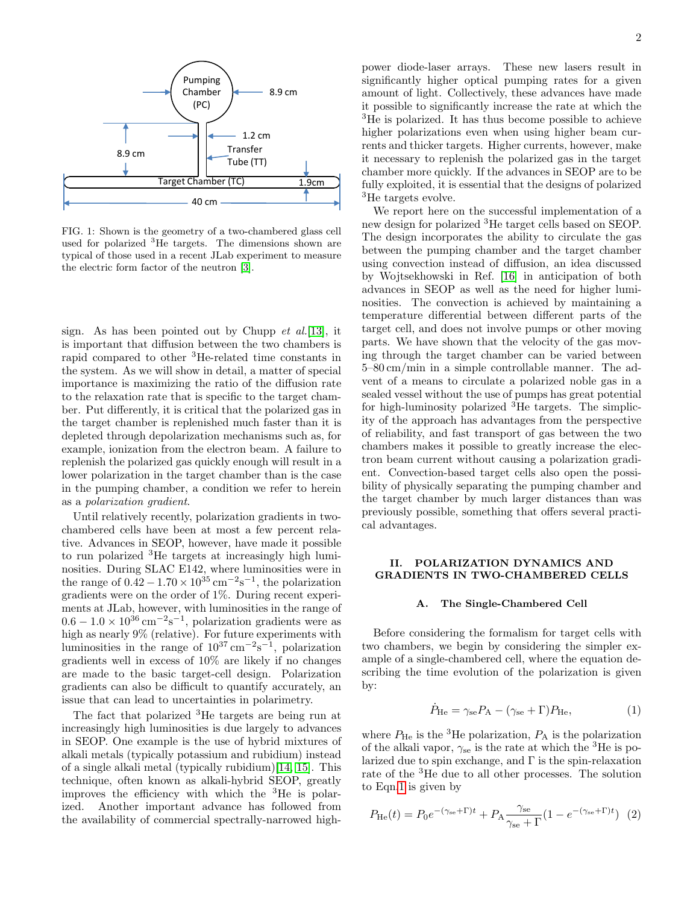

<span id="page-1-0"></span>FIG. 1: Shown is the geometry of a two-chambered glass cell used for polarized <sup>3</sup>He targets. The dimensions shown are typical of those used in a recent JLab experiment to measure the electric form factor of the neutron [\[3\]](#page-13-2).

sign. As has been pointed out by Chupp  $et \ al. [13]$  $et \ al. [13]$ , it is important that diffusion between the two chambers is rapid compared to other <sup>3</sup>He-related time constants in the system. As we will show in detail, a matter of special importance is maximizing the ratio of the diffusion rate to the relaxation rate that is specific to the target chamber. Put differently, it is critical that the polarized gas in the target chamber is replenished much faster than it is depleted through depolarization mechanisms such as, for example, ionization from the electron beam. A failure to replenish the polarized gas quickly enough will result in a lower polarization in the target chamber than is the case in the pumping chamber, a condition we refer to herein as a polarization gradient.

Until relatively recently, polarization gradients in twochambered cells have been at most a few percent relative. Advances in SEOP, however, have made it possible to run polarized <sup>3</sup>He targets at increasingly high luminosities. During SLAC E142, where luminosities were in the range of  $0.42 - 1.70 \times 10^{35}$  cm<sup>-2</sup>s<sup>-1</sup>, the polarization gradients were on the order of 1%. During recent experiments at JLab, however, with luminosities in the range of  $0.6 - 1.0 \times 10^{36}$  cm<sup>-2</sup>s<sup>-1</sup>, polarization gradients were as high as nearly 9% (relative). For future experiments with luminosities in the range of  $10^{37} \text{ cm}^{-2} \text{s}^{-1}$ , polarization gradients well in excess of 10% are likely if no changes are made to the basic target-cell design. Polarization gradients can also be difficult to quantify accurately, an issue that can lead to uncertainties in polarimetry.

The fact that polarized <sup>3</sup>He targets are being run at increasingly high luminosities is due largely to advances in SEOP. One example is the use of hybrid mixtures of alkali metals (typically potassium and rubidium) instead of a single alkali metal (typically rubidium)[\[14,](#page-13-12) [15\]](#page-13-13). This technique, often known as alkali-hybrid SEOP, greatly improves the efficiency with which the <sup>3</sup>He is polarized. Another important advance has followed from the availability of commercial spectrally-narrowed high-

power diode-laser arrays. These new lasers result in significantly higher optical pumping rates for a given amount of light. Collectively, these advances have made it possible to significantly increase the rate at which the <sup>3</sup>He is polarized. It has thus become possible to achieve higher polarizations even when using higher beam currents and thicker targets. Higher currents, however, make it necessary to replenish the polarized gas in the target chamber more quickly. If the advances in SEOP are to be fully exploited, it is essential that the designs of polarized <sup>3</sup>He targets evolve.

We report here on the successful implementation of a new design for polarized <sup>3</sup>He target cells based on SEOP. The design incorporates the ability to circulate the gas between the pumping chamber and the target chamber using convection instead of diffusion, an idea discussed by Wojtsekhowski in Ref. [\[16\]](#page-13-14) in anticipation of both advances in SEOP as well as the need for higher luminosities. The convection is achieved by maintaining a temperature differential between different parts of the target cell, and does not involve pumps or other moving parts. We have shown that the velocity of the gas moving through the target chamber can be varied between 5–80 cm/min in a simple controllable manner. The advent of a means to circulate a polarized noble gas in a sealed vessel without the use of pumps has great potential for high-luminosity polarized  ${}^{3}$ He targets. The simplicity of the approach has advantages from the perspective of reliability, and fast transport of gas between the two chambers makes it possible to greatly increase the electron beam current without causing a polarization gradient. Convection-based target cells also open the possibility of physically separating the pumping chamber and the target chamber by much larger distances than was previously possible, something that offers several practical advantages.

## II. POLARIZATION DYNAMICS AND GRADIENTS IN TWO-CHAMBERED CELLS

## A. The Single-Chambered Cell

Before considering the formalism for target cells with two chambers, we begin by considering the simpler example of a single-chambered cell, where the equation describing the time evolution of the polarization is given by:

<span id="page-1-1"></span>
$$
\dot{P}_{\text{He}} = \gamma_{\text{se}} P_{\text{A}} - (\gamma_{\text{se}} + \Gamma) P_{\text{He}},\tag{1}
$$

where  $P_{\text{He}}$  is the <sup>3</sup>He polarization,  $P_{\text{A}}$  is the polarization of the alkali vapor,  $\gamma_{\rm se}$  is the rate at which the <sup>3</sup>He is polarized due to spin exchange, and  $\Gamma$  is the spin-relaxation rate of the <sup>3</sup>He due to all other processes. The solution to Eqn[.1](#page-1-1) is given by

<span id="page-1-2"></span>
$$
P_{\text{He}}(t) = P_0 e^{-(\gamma_{\text{se}} + \Gamma)t} + P_{\text{A}} \frac{\gamma_{\text{se}}}{\gamma_{\text{se}} + \Gamma} (1 - e^{-(\gamma_{\text{se}} + \Gamma)t}) \tag{2}
$$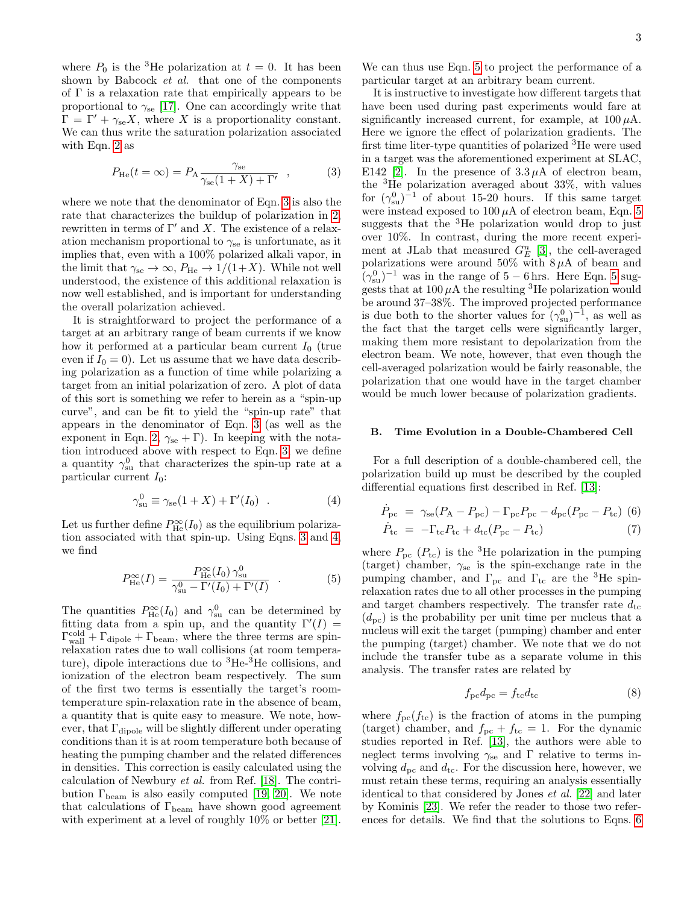where  $P_0$  is the <sup>3</sup>He polarization at  $t = 0$ . It has been shown by Babcock *et al.* that one of the components of Γ is a relaxation rate that empirically appears to be proportional to  $\gamma_{\rm se}$  [\[17\]](#page-13-15). One can accordingly write that  $\Gamma = \Gamma' + \gamma_{se} X$ , where X is a proportionality constant. We can thus write the saturation polarization associated with Eqn. [2](#page-1-2) as

<span id="page-2-0"></span>
$$
P_{\text{He}}(t=\infty) = P_{\text{A}} \frac{\gamma_{\text{se}}}{\gamma_{\text{se}}(1+X)+\Gamma'} \quad , \tag{3}
$$

where we note that the denominator of Eqn. [3](#page-2-0) is also the rate that characterizes the buildup of polarization in [2,](#page-1-2) rewritten in terms of  $\Gamma'$  and X. The existence of a relaxation mechanism proportional to  $\gamma_{\rm se}$  is unfortunate, as it implies that, even with a 100% polarized alkali vapor, in the limit that  $\gamma_{\rm se} \to \infty$ ,  $P_{\rm He} \to 1/(1+X)$ . While not well understood, the existence of this additional relaxation is now well established, and is important for understanding the overall polarization achieved.

It is straightforward to project the performance of a target at an arbitrary range of beam currents if we know how it performed at a particular beam current  $I_0$  (true even if  $I_0 = 0$ ). Let us assume that we have data describing polarization as a function of time while polarizing a target from an initial polarization of zero. A plot of data of this sort is something we refer to herein as a "spin-up curve", and can be fit to yield the "spin-up rate" that appears in the denominator of Eqn. [3](#page-2-0) (as well as the exponent in Eqn. [2,](#page-1-2)  $\gamma_{\rm se} + \Gamma$ ). In keeping with the notation introduced above with respect to Eqn. [3,](#page-2-0) we define a quantity  $\gamma_{su}^0$  that characterizes the spin-up rate at a particular current  $I_0$ :

<span id="page-2-1"></span>
$$
\gamma_{\rm su}^0 \equiv \gamma_{\rm se}(1+X) + \Gamma'(I_0) \quad . \tag{4}
$$

Let us further define  $P^{\infty}_{\text{He}}(I_0)$  as the equilibrium polarization associated with that spin-up. Using Eqns. [3](#page-2-0) and [4,](#page-2-1) we find

<span id="page-2-2"></span>
$$
P_{\rm He}^{\infty}(I) = \frac{P_{\rm He}^{\infty}(I_0) \gamma_{\rm su}^0}{\gamma_{\rm su}^0 - \Gamma'(I_0) + \Gamma'(I)} \quad . \tag{5}
$$

The quantities  $P_{\text{He}}^{\infty}(I_0)$  and  $\gamma_{\text{su}}^0$  can be determined by fitting data from a spin up, and the quantity  $\Gamma'(I) =$  $\Gamma_{\text{wall}}^{\text{cold}} + \Gamma_{\text{dipole}} + \Gamma_{\text{beam}}$ , where the three terms are spinrelaxation rates due to wall collisions (at room temperature), dipole interactions due to  ${}^{3}He~{}^{3}He$  collisions, and ionization of the electron beam respectively. The sum of the first two terms is essentially the target's roomtemperature spin-relaxation rate in the absence of beam, a quantity that is quite easy to measure. We note, however, that  $\Gamma_{\text{dipole}}$  will be slightly different under operating conditions than it is at room temperature both because of heating the pumping chamber and the related differences in densities. This correction is easily calculated using the calculation of Newbury et al. from Ref. [\[18\]](#page-13-16). The contribution  $\Gamma_{\text{beam}}$  is also easily computed [\[19,](#page-13-17) [20\]](#page-13-18). We note that calculations of  $\Gamma_{\rm beam}$  have shown good agreement with experiment at a level of roughly  $10\%$  or better [\[21\]](#page-13-19).

We can thus use Eqn. [5](#page-2-2) to project the performance of a particular target at an arbitrary beam current.

It is instructive to investigate how different targets that have been used during past experiments would fare at significantly increased current, for example, at  $100 \mu A$ . Here we ignore the effect of polarization gradients. The first time liter-type quantities of polarized <sup>3</sup>He were used in a target was the aforementioned experiment at SLAC, E142 [\[2\]](#page-13-1). In the presence of  $3.3 \mu$ A of electron beam. the <sup>3</sup>He polarization averaged about 33%, with values for  $(\gamma_{\rm su}^0)^{-1}$  of about 15-20 hours. If this same target were instead exposed to  $100 \mu A$  of electron beam, Eqn. [5](#page-2-2) suggests that the  ${}^{3}$ He polarization would drop to just over 10%. In contrast, during the more recent experiment at JLab that measured  $G_E^n$  [\[3\]](#page-13-2), the cell-averaged polarizations were around 50% with  $8 \mu A$  of beam and  $(\gamma^0_{su})^{-1}$  was in the range of [5](#page-2-2) – 6 hrs. Here Eqn. 5 suggests that at  $100 \mu A$  the resulting <sup>3</sup>He polarization would be around 37–38%. The improved projected performance is due both to the shorter values for  $(\gamma_{\rm su}^0)^{-1}$ , as well as the fact that the target cells were significantly larger, making them more resistant to depolarization from the electron beam. We note, however, that even though the cell-averaged polarization would be fairly reasonable, the polarization that one would have in the target chamber would be much lower because of polarization gradients.

## B. Time Evolution in a Double-Chambered Cell

For a full description of a double-chambered cell, the polarization build up must be described by the coupled differential equations first described in Ref. [\[13\]](#page-13-11):

<span id="page-2-3"></span>
$$
\dot{P}_{\text{pc}} = \gamma_{\text{se}} (P_{\text{A}} - P_{\text{pc}}) - \Gamma_{\text{pc}} P_{\text{pc}} - d_{\text{pc}} (P_{\text{pc}} - P_{\text{tc}}) \tag{6}
$$
\n
$$
\dot{P}_{\text{tc}} = -\Gamma_{\text{tc}} P_{\text{tc}} + d_{\text{tc}} (P_{\text{pc}} - P_{\text{tc}}) \tag{7}
$$

where  $P_{\text{pc}}$  ( $P_{\text{tc}}$ ) is the <sup>3</sup>He polarization in the pumping (target) chamber,  $\gamma_{se}$  is the spin-exchange rate in the pumping chamber, and  $\Gamma_{\text{pc}}$  and  $\Gamma_{\text{tc}}$  are the <sup>3</sup>He spinrelaxation rates due to all other processes in the pumping and target chambers respectively. The transfer rate  $d_{\text{tc}}$  $(d_{\text{pc}})$  is the probability per unit time per nucleus that a nucleus will exit the target (pumping) chamber and enter the pumping (target) chamber. We note that we do not include the transfer tube as a separate volume in this analysis. The transfer rates are related by

$$
f_{\rm pc} d_{\rm pc} = f_{\rm tc} d_{\rm tc} \tag{8}
$$

where  $f_{\text{pc}}(f_{\text{tc}})$  is the fraction of atoms in the pumping (target) chamber, and  $f_{\text{pc}} + f_{\text{tc}} = 1$ . For the dynamic studies reported in Ref. [\[13\]](#page-13-11), the authors were able to neglect terms involving  $\gamma_{\rm se}$  and  $\Gamma$  relative to terms involving  $d_{\text{pc}}$  and  $d_{\text{tc}}$ . For the discussion here, however, we must retain these terms, requiring an analysis essentially identical to that considered by Jones et al. [\[22\]](#page-13-20) and later by Kominis [\[23\]](#page-13-21). We refer the reader to those two references for details. We find that the solutions to Eqns. [6](#page-2-3)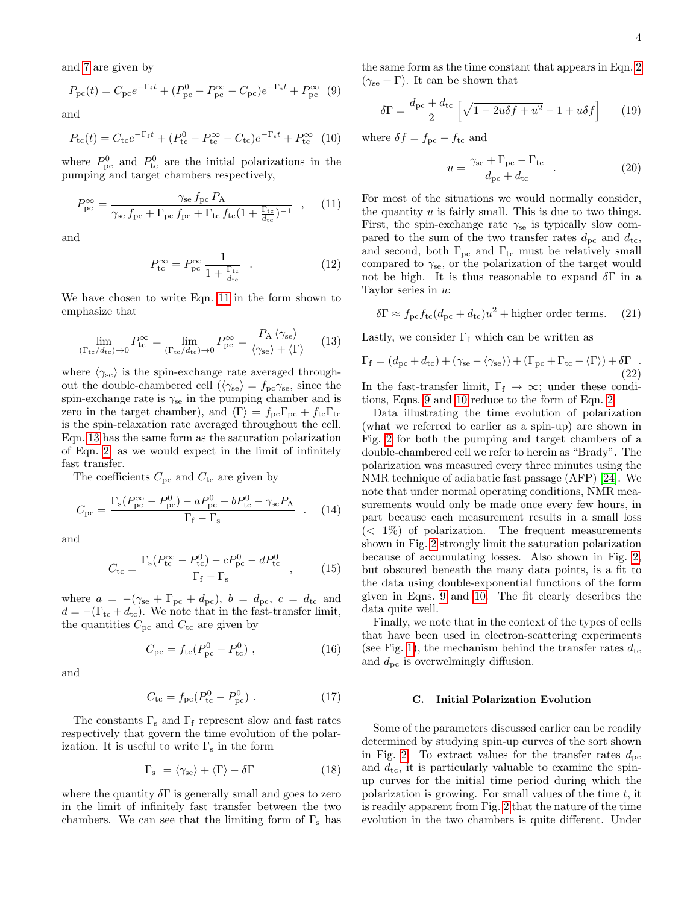and [7](#page-2-3) are given by

<span id="page-3-2"></span>
$$
P_{\rm pc}(t) = C_{\rm pc}e^{-\Gamma_{\rm f}t} + (P_{\rm pc}^0 - P_{\rm pc}^{\infty} - C_{\rm pc})e^{-\Gamma_{\rm s}t} + P_{\rm pc}^{\infty} \tag{9}
$$

and

<span id="page-3-3"></span>
$$
P_{\rm tc}(t) = C_{\rm tc}e^{-\Gamma_{\rm f}t} + (P_{\rm tc}^0 - P_{\rm tc}^{\infty} - C_{\rm tc})e^{-\Gamma_{\rm s}t} + P_{\rm tc}^{\infty} \tag{10}
$$

where  $P_{\text{pc}}^{0}$  and  $P_{\text{tc}}^{0}$  are the initial polarizations in the pumping and target chambers respectively,

<span id="page-3-0"></span>
$$
P_{\rm pc}^{\infty} = \frac{\gamma_{\rm se} f_{\rm pc} P_{\rm A}}{\gamma_{\rm se} f_{\rm pc} + \Gamma_{\rm pc} f_{\rm pc} + \Gamma_{\rm tc} f_{\rm tc} (1 + \frac{\Gamma_{\rm tc}}{d_{\rm tc}})^{-1}} \quad , \quad (11)
$$

and

<span id="page-3-4"></span>
$$
P_{\rm tc}^{\infty} = P_{\rm pc}^{\infty} \frac{1}{1 + \frac{\Gamma_{\rm tc}}{d_{\rm tc}}} \quad . \tag{12}
$$

We have chosen to write Eqn. [11](#page-3-0) in the form shown to emphasize that

<span id="page-3-1"></span>
$$
\lim_{(\Gamma_{\text{tc}}/d_{\text{tc}}) \to 0} P_{\text{tc}}^{\infty} = \lim_{(\Gamma_{\text{tc}}/d_{\text{tc}}) \to 0} P_{\text{pc}}^{\infty} = \frac{P_{\text{A}} \langle \gamma_{\text{se}} \rangle}{\langle \gamma_{\text{se}} \rangle + \langle \Gamma \rangle} \tag{13}
$$

where  $\langle \gamma_{\rm se} \rangle$  is the spin-exchange rate averaged throughout the double-chambered cell ( $\langle \gamma_{se} \rangle = f_{\rm pc} \gamma_{\rm se}$ , since the spin-exchange rate is  $\gamma_{\rm se}$  in the pumping chamber and is zero in the target chamber), and  $\langle \Gamma \rangle = f_{\text{pc}} \Gamma_{\text{pc}} + f_{\text{tc}} \Gamma_{\text{tc}}$ is the spin-relaxation rate averaged throughout the cell. Eqn. [13](#page-3-1) has the same form as the saturation polarization of Eqn. [2,](#page-1-2) as we would expect in the limit of infinitely fast transfer.

The coefficients  $C_{\text{pc}}$  and  $C_{\text{tc}}$  are given by

$$
C_{\rm pc} = \frac{\Gamma_{\rm s}(P_{\rm pc}^{\infty} - P_{\rm pc}^{0}) - aP_{\rm pc}^{0} - bP_{\rm tc}^{0} - \gamma_{\rm se}P_{\rm A}}{\Gamma_{\rm f} - \Gamma_{\rm s}} \quad . \quad (14)
$$

and

$$
C_{\rm tc} = \frac{\Gamma_{\rm s}(P_{\rm tc}^{\infty} - P_{\rm tc}^0) - cP_{\rm pc}^0 - dP_{\rm tc}^0}{\Gamma_{\rm f} - \Gamma_{\rm s}} \quad , \qquad (15)
$$

where  $a = -(\gamma_{\rm se} + \Gamma_{\rm pc} + d_{\rm pc}), b = d_{\rm pc}, c = d_{\rm tc}$  and  $d = -(\Gamma_{\text{tc}} + d_{\text{tc}})$ . We note that in the fast-transfer limit, the quantities  $C_{\text{pc}}$  and  $C_{\text{tc}}$  are given by

$$
C_{\rm pc} = f_{\rm tc}(P_{\rm pc}^0 - P_{\rm tc}^0) \;, \tag{16}
$$

and

$$
C_{\rm tc} = f_{\rm pc} (P_{\rm tc}^0 - P_{\rm pc}^0) \ . \tag{17}
$$

The constants  $\Gamma_{\rm s}$  and  $\Gamma_{\rm f}$  represent slow and fast rates respectively that govern the time evolution of the polarization. It is useful to write  $\Gamma_{\rm s}$  in the form

$$
\Gamma_{\rm s} = \langle \gamma_{\rm se} \rangle + \langle \Gamma \rangle - \delta \Gamma \tag{18}
$$

where the quantity  $\delta \Gamma$  is generally small and goes to zero in the limit of infinitely fast transfer between the two chambers. We can see that the limiting form of  $\Gamma_{\rm s}$  has the same form as the time constant that appears in Eqn. [2](#page-1-2)  $(\gamma_{\text{se}} + \Gamma)$ . It can be shown that

$$
\delta\Gamma = \frac{d_{\rm pc} + d_{\rm tc}}{2} \left[ \sqrt{1 - 2u\delta f + u^2} - 1 + u\delta f \right]
$$
 (19)

where  $\delta f = f_{\rm pc} - f_{\rm tc}$  and

$$
u = \frac{\gamma_{\rm se} + \Gamma_{\rm pc} - \Gamma_{\rm tc}}{d_{\rm pc} + d_{\rm tc}} \quad . \tag{20}
$$

For most of the situations we would normally consider, the quantity  $u$  is fairly small. This is due to two things. First, the spin-exchange rate  $\gamma_{\rm se}$  is typically slow compared to the sum of the two transfer rates  $d_{\text{pc}}$  and  $d_{\text{tc}}$ , and second, both  $\Gamma_{\text{pc}}$  and  $\Gamma_{\text{tc}}$  must be relatively small compared to  $\gamma_{\rm se}$ , or the polarization of the target would not be high. It is thus reasonable to expand  $\delta\Gamma$  in a Taylor series in u:

$$
\delta \Gamma \approx f_{\rm pc} f_{\rm tc}(d_{\rm pc} + d_{\rm tc})u^2 + \text{higher order terms.} \quad (21)
$$

Lastly, we consider  $\Gamma_f$  which can be written as

$$
\Gamma_{\rm f} = (d_{\rm pc} + d_{\rm tc}) + (\gamma_{\rm se} - \langle \gamma_{\rm se} \rangle) + (\Gamma_{\rm pc} + \Gamma_{\rm tc} - \langle \Gamma \rangle) + \delta \Gamma
$$
\n(22)\nIn the fast-trangfer limit  $\Gamma_{\rm c} \to \infty$ ; under these condi-

In the fast-transfer limit,  $\Gamma_f \rightarrow \infty$ ; under these conditions, Eqns. [9](#page-3-2) and [10](#page-3-3) reduce to the form of Eqn. [2.](#page-1-2)

Data illustrating the time evolution of polarization (what we referred to earlier as a spin-up) are shown in Fig. [2](#page-4-0) for both the pumping and target chambers of a double-chambered cell we refer to herein as "Brady". The polarization was measured every three minutes using the NMR technique of adiabatic fast passage (AFP) [\[24\]](#page-13-22). We note that under normal operating conditions, NMR measurements would only be made once every few hours, in part because each measurement results in a small loss  $(< 1\%)$  of polarization. The frequent measurements shown in Fig. [2](#page-4-0) strongly limit the saturation polarization because of accumulating losses. Also shown in Fig. [2,](#page-4-0) but obscured beneath the many data points, is a fit to the data using double-exponential functions of the form given in Eqns. [9](#page-3-2) and [10.](#page-3-3) The fit clearly describes the data quite well.

Finally, we note that in the context of the types of cells that have been used in electron-scattering experiments (see Fig. [1\)](#page-1-0), the mechanism behind the transfer rates  $d_{\text{tc}}$ and  $d_{\text{pc}}$  is overwelmingly diffusion.

## C. Initial Polarization Evolution

Some of the parameters discussed earlier can be readily determined by studying spin-up curves of the sort shown in Fig. [2.](#page-4-0) To extract values for the transfer rates  $d_{\rm pc}$ and  $d_{\text{tc}}$ , it is particularly valuable to examine the spinup curves for the initial time period during which the polarization is growing. For small values of the time  $t$ , it is readily apparent from Fig. [2](#page-4-0) that the nature of the time evolution in the two chambers is quite different. Under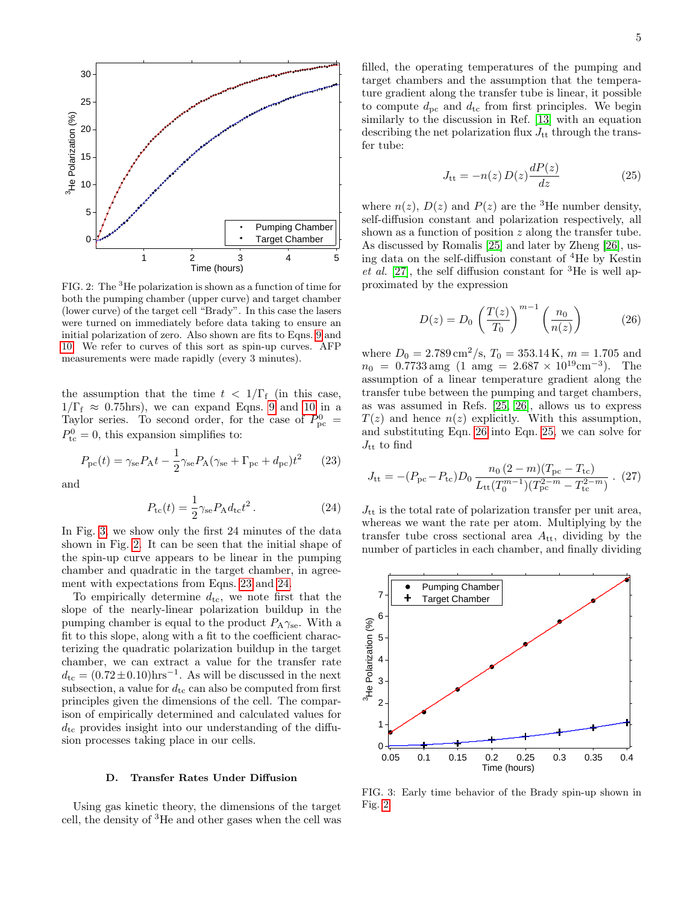

<span id="page-4-0"></span>FIG. 2: The <sup>3</sup>He polarization is shown as a function of time for both the pumping chamber (upper curve) and target chamber (lower curve) of the target cell "Brady". In this case the lasers were turned on immediately before data taking to ensure an initial polarization of zero. Also shown are fits to Eqns. [9](#page-3-2) and [10.](#page-3-3) We refer to curves of this sort as spin-up curves. AFP measurements were made rapidly (every 3 minutes).

the assumption that the time  $t < 1/\Gamma_f$  (in this case,  $1/\Gamma_f \approx 0.75$ hrs), we can expand Eqns. [9](#page-3-2) and [10](#page-3-3) in a Taylor series. To second order, for the case of  $P_{\rm pc}^0$  =  $P_{\text{tc}}^0 = 0$ , this expansion simplifies to:

<span id="page-4-2"></span>
$$
P_{\rm pc}(t) = \gamma_{\rm se} P_{\rm A} t - \frac{1}{2} \gamma_{\rm se} P_{\rm A} (\gamma_{\rm se} + \Gamma_{\rm pc} + d_{\rm pc}) t^2 \qquad (23)
$$

and

<span id="page-4-3"></span>
$$
P_{\rm tc}(t) = \frac{1}{2} \gamma_{\rm se} P_{\rm A} d_{\rm tc} t^2 \,. \tag{24}
$$

In Fig. [3,](#page-4-1) we show only the first 24 minutes of the data shown in Fig. [2.](#page-4-0) It can be seen that the initial shape of the spin-up curve appears to be linear in the pumping chamber and quadratic in the target chamber, in agreement with expectations from Eqns. [23](#page-4-2) and [24.](#page-4-3)

To empirically determine  $d_{\text{tc}}$ , we note first that the slope of the nearly-linear polarization buildup in the pumping chamber is equal to the product  $P_A \gamma_{se}$ . With a fit to this slope, along with a fit to the coefficient characterizing the quadratic polarization buildup in the target chamber, we can extract a value for the transfer rate  $d_{\text{tc}} = (0.72 \pm 0.10) \text{hrs}^{-1}$ . As will be discussed in the next subsection, a value for  $d_{\text{tc}}$  can also be computed from first principles given the dimensions of the cell. The comparison of empirically determined and calculated values for  $d_{\text{tc}}$  provides insight into our understanding of the diffusion processes taking place in our cells.

## D. Transfer Rates Under Diffusion

Using gas kinetic theory, the dimensions of the target cell, the density of <sup>3</sup>He and other gases when the cell was filled, the operating temperatures of the pumping and target chambers and the assumption that the temperature gradient along the transfer tube is linear, it possible to compute  $d_{\text{pc}}$  and  $d_{\text{tc}}$  from first principles. We begin similarly to the discussion in Ref. [\[13\]](#page-13-11) with an equation describing the net polarization flux  $J_{tt}$  through the transfer tube:

<span id="page-4-5"></span>
$$
J_{\rm tt} = -n(z) D(z) \frac{dP(z)}{dz} \tag{25}
$$

where  $n(z)$ ,  $D(z)$  and  $P(z)$  are the <sup>3</sup>He number density, self-diffusion constant and polarization respectively, all shown as a function of position z along the transfer tube. As discussed by Romalis [\[25\]](#page-13-23) and later by Zheng [\[26\]](#page-13-24), using data on the self-diffusion constant of <sup>4</sup>He by Kestin et al. [\[27\]](#page-13-25), the self diffusion constant for  ${}^{3}$ He is well approximated by the expression

<span id="page-4-4"></span>
$$
D(z) = D_0 \left(\frac{T(z)}{T_0}\right)^{m-1} \left(\frac{n_0}{n(z)}\right) \tag{26}
$$

where  $D_0 = 2.789 \,\mathrm{cm}^2/\mathrm{s}$ ,  $T_0 = 353.14 \,\mathrm{K}$ ,  $m = 1.705$  and  $n_0 = 0.7733$  amg  $(1 \text{ amg} = 2.687 \times 10^{19} \text{cm}^{-3})$ . The assumption of a linear temperature gradient along the transfer tube between the pumping and target chambers, as was assumed in Refs. [\[25,](#page-13-23) [26\]](#page-13-24), allows us to express  $T(z)$  and hence  $n(z)$  explicitly. With this assumption, and substituting Eqn. [26](#page-4-4) into Eqn. [25,](#page-4-5) we can solve for  $J_{tt}$  to find

$$
J_{\rm tt} = -(P_{\rm pc} - P_{\rm tc})D_0 \frac{n_0 (2 - m)(T_{\rm pc} - T_{\rm tc})}{L_{\rm tt}(T_0^{m-1})(T_{\rm pc}^{2 - m} - T_{\rm tc}^{2 - m})} \ . \tag{27}
$$

 $J_{tt}$  is the total rate of polarization transfer per unit area, whereas we want the rate per atom. Multiplying by the transfer tube cross sectional area  $A_{tt}$ , dividing by the number of particles in each chamber, and finally dividing



<span id="page-4-1"></span>FIG. 3: Early time behavior of the Brady spin-up shown in Fig. [2.](#page-4-0)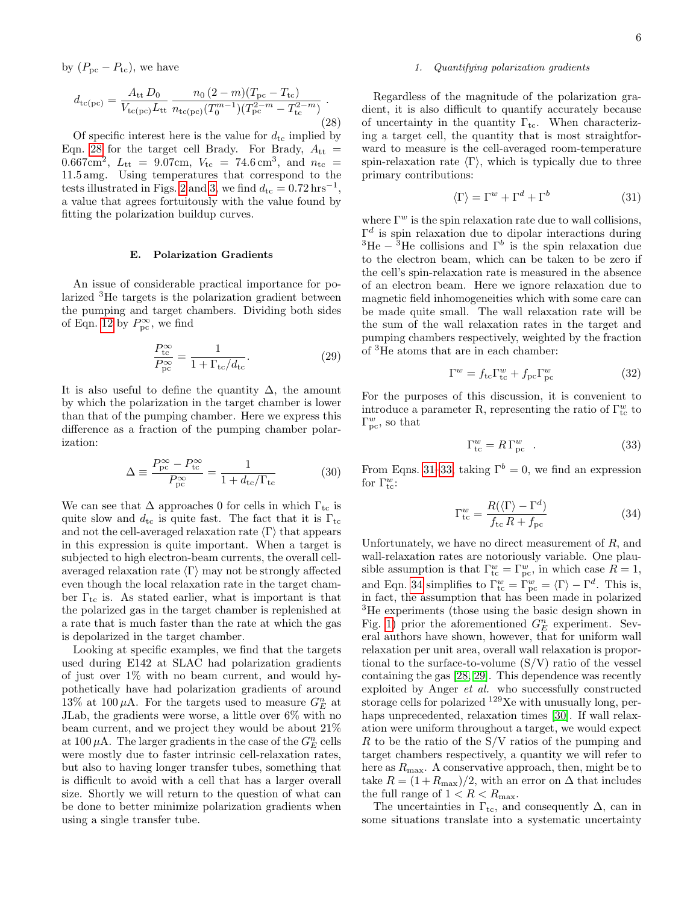by  $(P_{\text{pc}} - P_{\text{tc}})$ , we have

<span id="page-5-0"></span>
$$
d_{\rm tc(pc)} = \frac{A_{\rm tt} D_0}{V_{\rm tc(pc)} L_{\rm tt}} \frac{n_0 (2 - m)(T_{\rm pc} - T_{\rm tc})}{n_{\rm tc(pc)} (T_0^{m-1})(T_{\rm pc}^{2 - m} - T_{\rm tc}^{2 - m})}.
$$
\n(28)

Of specific interest here is the value for  $d_{\text{tc}}$  implied by Eqn. [28](#page-5-0) for the target cell Brady. For Brady,  $A_{tt}$  = 0.667cm<sup>2</sup>,  $L_{tt} = 9.07$ cm,  $V_{tc} = 74.6$  cm<sup>3</sup>, and  $n_{tc} =$ 11.5 amg. Using temperatures that correspond to the tests illustrated in Figs. [2](#page-4-0) and [3,](#page-4-1) we find  $d_{\text{tc}} = 0.72 \,\text{hrs}^{-1}$ , a value that agrees fortuitously with the value found by fitting the polarization buildup curves.

### E. Polarization Gradients

An issue of considerable practical importance for polarized <sup>3</sup>He targets is the polarization gradient between the pumping and target chambers. Dividing both sides of Eqn. [12](#page-3-4) by  $P_{\text{pc}}^{\infty}$ , we find

$$
\frac{P_{\text{tc}}^{\infty}}{P_{\text{pc}}^{\infty}} = \frac{1}{1 + \Gamma_{\text{tc}}/d_{\text{tc}}}.\tag{29}
$$

It is also useful to define the quantity  $\Delta$ , the amount by which the polarization in the target chamber is lower than that of the pumping chamber. Here we express this difference as a fraction of the pumping chamber polarization:

<span id="page-5-4"></span>
$$
\Delta \equiv \frac{P_{\rm pc}^{\infty} - P_{\rm tc}^{\infty}}{P_{\rm pc}^{\infty}} = \frac{1}{1 + d_{\rm tc}/\Gamma_{\rm tc}} \tag{30}
$$

We can see that  $\Delta$  approaches 0 for cells in which  $\Gamma_{\text{tc}}$  is quite slow and  $d_{\text{tc}}$  is quite fast. The fact that it is  $\Gamma_{\text{tc}}$ and not the cell-averaged relaxation rate  $\langle \Gamma \rangle$  that appears in this expression is quite important. When a target is subjected to high electron-beam currents, the overall cellaveraged relaxation rate  $\langle \Gamma \rangle$  may not be strongly affected even though the local relaxation rate in the target chamber  $\Gamma_{\text{tc}}$  is. As stated earlier, what is important is that the polarized gas in the target chamber is replenished at a rate that is much faster than the rate at which the gas is depolarized in the target chamber.

Looking at specific examples, we find that the targets used during E142 at SLAC had polarization gradients of just over  $1\%$  with no beam current, and would hypothetically have had polarization gradients of around 13% at 100  $\mu$ A. For the targets used to measure  $G_E^n$  at JLab, the gradients were worse, a little over 6% with no beam current, and we project they would be about 21% at 100  $\mu$ A. The larger gradients in the case of the  $G_E^n$  cells were mostly due to faster intrinsic cell-relaxation rates, but also to having longer transfer tubes, something that is difficult to avoid with a cell that has a larger overall size. Shortly we will return to the question of what can be done to better minimize polarization gradients when using a single transfer tube.

### 1. Quantifying polarization gradients

Regardless of the magnitude of the polarization gradient, it is also difficult to quantify accurately because of uncertainty in the quantity  $\Gamma_{\text{tc}}$ . When characterizing a target cell, the quantity that is most straightforward to measure is the cell-averaged room-temperature spin-relaxation rate  $\langle \Gamma \rangle$ , which is typically due to three primary contributions:

<span id="page-5-1"></span>
$$
\langle \Gamma \rangle = \Gamma^w + \Gamma^d + \Gamma^b \tag{31}
$$

where  $\Gamma^w$  is the spin relaxation rate due to wall collisions,  $\Gamma^d$  is spin relaxation due to dipolar interactions during <sup>3</sup>He – <sup>3</sup>He collisions and  $\Gamma^b$  is the spin relaxation due to the electron beam, which can be taken to be zero if the cell's spin-relaxation rate is measured in the absence of an electron beam. Here we ignore relaxation due to magnetic field inhomogeneities which with some care can be made quite small. The wall relaxation rate will be the sum of the wall relaxation rates in the target and pumping chambers respectively, weighted by the fraction of <sup>3</sup>He atoms that are in each chamber:

$$
\Gamma^w = f_{\text{tc}} \Gamma^w_{\text{tc}} + f_{\text{pc}} \Gamma^w_{\text{pc}} \tag{32}
$$

For the purposes of this discussion, it is convenient to introduce a parameter R, representing the ratio of  $\Gamma_{\text{tc}}^{w}$  to  $\Gamma_{\text{pc}}^{w}$ , so that

<span id="page-5-2"></span>
$$
\Gamma_{\rm tc}^w = R \Gamma_{\rm pc}^w \quad . \tag{33}
$$

From Eqns. [31](#page-5-1)[–33,](#page-5-2) taking  $\Gamma^b = 0$ , we find an expression for  $\Gamma_{\text{tc}}^w$ :

<span id="page-5-3"></span>
$$
\Gamma_{\text{tc}}^{w} = \frac{R(\langle \Gamma \rangle - \Gamma^{d})}{f_{\text{tc}} R + f_{\text{pc}}}
$$
\n(34)

Unfortunately, we have no direct measurement of R, and wall-relaxation rates are notoriously variable. One plausible assumption is that  $\Gamma_{\text{tc}}^w = \Gamma_{\text{pc}}^w$ , in which case  $R = 1$ , and Eqn. [34](#page-5-3) simplifies to  $\Gamma_{\text{tc}}^w = \Gamma_{\text{pc}}^w = \langle \Gamma \rangle - \Gamma^d$ . This is, in fact, the assumption that has been made in polarized <sup>3</sup>He experiments (those using the basic design shown in Fig. [1\)](#page-1-0) prior the aforementioned  $G_E^n$  experiment. Several authors have shown, however, that for uniform wall relaxation per unit area, overall wall relaxation is proportional to the surface-to-volume  $(S/V)$  ratio of the vessel containing the gas [\[28,](#page-13-26) [29\]](#page-13-27). This dependence was recently exploited by Anger et al. who successfully constructed storage cells for polarized <sup>129</sup>Xe with unusually long, perhaps unprecedented, relaxation times [\[30\]](#page-13-28). If wall relaxation were uniform throughout a target, we would expect  $R$  to be the ratio of the  $S/V$  ratios of the pumping and target chambers respectively, a quantity we will refer to here as  $R_{\text{max}}$ . A conservative approach, then, might be to take  $R = (1 + R_{\text{max}})/2$ , with an error on  $\Delta$  that includes the full range of  $1 < R < R_{\text{max}}$ .

The uncertainties in  $\Gamma_{\text{tc}}$ , and consequently  $\Delta$ , can in some situations translate into a systematic uncertainty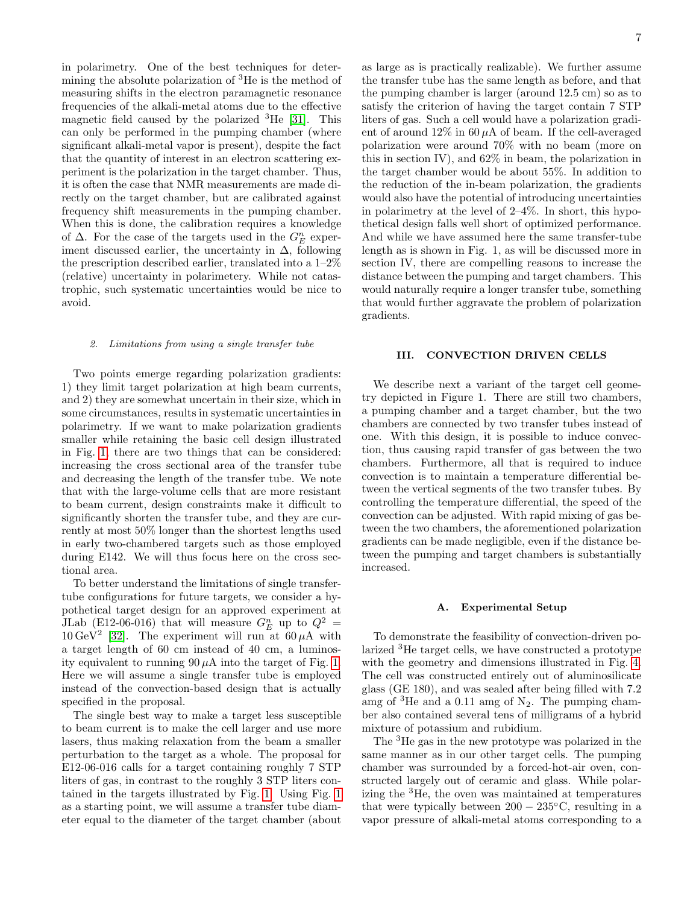in polarimetry. One of the best techniques for determining the absolute polarization of <sup>3</sup>He is the method of measuring shifts in the electron paramagnetic resonance frequencies of the alkali-metal atoms due to the effective magnetic field caused by the polarized  ${}^{3}$ He [\[31\]](#page-13-29). This can only be performed in the pumping chamber (where significant alkali-metal vapor is present), despite the fact that the quantity of interest in an electron scattering experiment is the polarization in the target chamber. Thus, it is often the case that NMR measurements are made directly on the target chamber, but are calibrated against frequency shift measurements in the pumping chamber. When this is done, the calibration requires a knowledge of  $\Delta$ . For the case of the targets used in the  $G_E^n$  experiment discussed earlier, the uncertainty in  $\Delta$ , following the prescription described earlier, translated into a 1–2% (relative) uncertainty in polarimetery. While not catastrophic, such systematic uncertainties would be nice to avoid.

## 2. Limitations from using a single transfer tube

Two points emerge regarding polarization gradients: 1) they limit target polarization at high beam currents, and 2) they are somewhat uncertain in their size, which in some circumstances, results in systematic uncertainties in polarimetry. If we want to make polarization gradients smaller while retaining the basic cell design illustrated in Fig. [1,](#page-1-0) there are two things that can be considered: increasing the cross sectional area of the transfer tube and decreasing the length of the transfer tube. We note that with the large-volume cells that are more resistant to beam current, design constraints make it difficult to significantly shorten the transfer tube, and they are currently at most 50% longer than the shortest lengths used in early two-chambered targets such as those employed during E142. We will thus focus here on the cross sectional area.

To better understand the limitations of single transfertube configurations for future targets, we consider a hypothetical target design for an approved experiment at JLab (E12-06-016) that will measure  $G_E^n$  up to  $Q^2 =$ 10 GeV<sup>2</sup> [\[32\]](#page-13-30). The experiment will run at 60  $\mu$ A with a target length of 60 cm instead of 40 cm, a luminosity equivalent to running  $90 \mu A$  into the target of Fig. [1.](#page-1-0) Here we will assume a single transfer tube is employed instead of the convection-based design that is actually specified in the proposal.

The single best way to make a target less susceptible to beam current is to make the cell larger and use more lasers, thus making relaxation from the beam a smaller perturbation to the target as a whole. The proposal for E12-06-016 calls for a target containing roughly 7 STP liters of gas, in contrast to the roughly 3 STP liters contained in the targets illustrated by Fig. [1.](#page-1-0) Using Fig. [1](#page-1-0) as a starting point, we will assume a transfer tube diameter equal to the diameter of the target chamber (about

as large as is practically realizable). We further assume the transfer tube has the same length as before, and that the pumping chamber is larger (around 12.5 cm) so as to satisfy the criterion of having the target contain 7 STP liters of gas. Such a cell would have a polarization gradient of around  $12\%$  in 60  $\mu$ A of beam. If the cell-averaged polarization were around 70% with no beam (more on this in section IV), and 62% in beam, the polarization in the target chamber would be about 55%. In addition to the reduction of the in-beam polarization, the gradients would also have the potential of introducing uncertainties in polarimetry at the level of 2–4%. In short, this hypothetical design falls well short of optimized performance. And while we have assumed here the same transfer-tube length as is shown in Fig. 1, as will be discussed more in section IV, there are compelling reasons to increase the distance between the pumping and target chambers. This would naturally require a longer transfer tube, something that would further aggravate the problem of polarization gradients.

#### III. CONVECTION DRIVEN CELLS

We describe next a variant of the target cell geometry depicted in Figure 1. There are still two chambers, a pumping chamber and a target chamber, but the two chambers are connected by two transfer tubes instead of one. With this design, it is possible to induce convection, thus causing rapid transfer of gas between the two chambers. Furthermore, all that is required to induce convection is to maintain a temperature differential between the vertical segments of the two transfer tubes. By controlling the temperature differential, the speed of the convection can be adjusted. With rapid mixing of gas between the two chambers, the aforementioned polarization gradients can be made negligible, even if the distance between the pumping and target chambers is substantially increased.

#### A. Experimental Setup

To demonstrate the feasibility of convection-driven polarized <sup>3</sup>He target cells, we have constructed a prototype with the geometry and dimensions illustrated in Fig. [4.](#page-7-0) The cell was constructed entirely out of aluminosilicate glass (GE 180), and was sealed after being filled with 7.2 amg of  ${}^{3}$ He and a 0.11 amg of N<sub>2</sub>. The pumping chamber also contained several tens of milligrams of a hybrid mixture of potassium and rubidium.

The <sup>3</sup>He gas in the new prototype was polarized in the same manner as in our other target cells. The pumping chamber was surrounded by a forced-hot-air oven, constructed largely out of ceramic and glass. While polarizing the <sup>3</sup>He, the oven was maintained at temperatures that were typically between  $200 - 235\degree C$ , resulting in a vapor pressure of alkali-metal atoms corresponding to a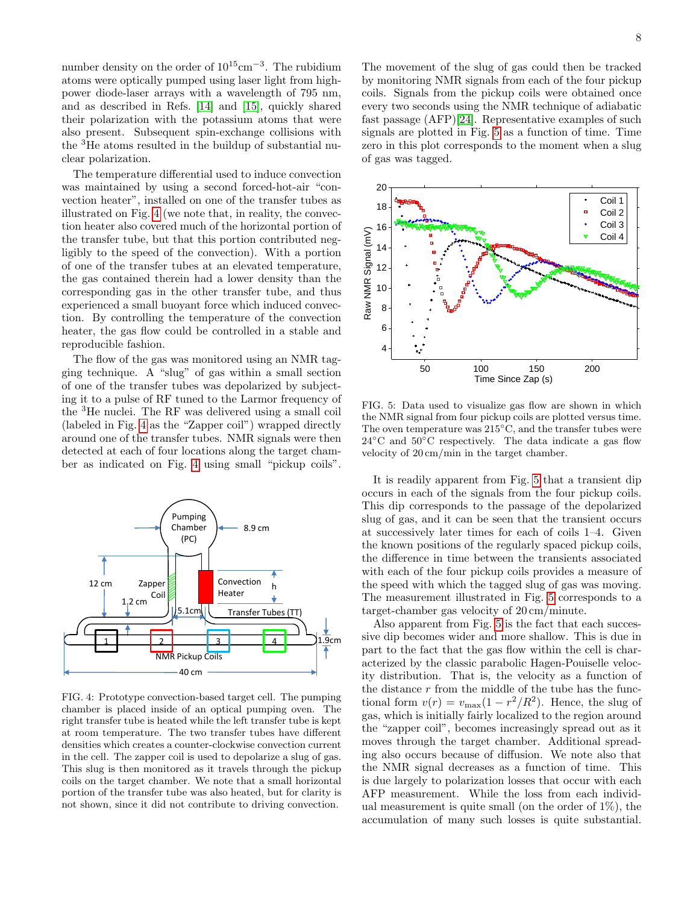number density on the order of 10<sup>15</sup>cm<sup>-3</sup>. The rubidium atoms were optically pumped using laser light from highpower diode-laser arrays with a wavelength of 795 nm, and as described in Refs. [\[14\]](#page-13-12) and [\[15\]](#page-13-13), quickly shared their polarization with the potassium atoms that were also present. Subsequent spin-exchange collisions with the <sup>3</sup>He atoms resulted in the buildup of substantial nuclear polarization.

The temperature differential used to induce convection was maintained by using a second forced-hot-air "convection heater", installed on one of the transfer tubes as illustrated on Fig. [4](#page-7-0) (we note that, in reality, the convection heater also covered much of the horizontal portion of the transfer tube, but that this portion contributed negligibly to the speed of the convection). With a portion of one of the transfer tubes at an elevated temperature, the gas contained therein had a lower density than the corresponding gas in the other transfer tube, and thus experienced a small buoyant force which induced convection. By controlling the temperature of the convection heater, the gas flow could be controlled in a stable and reproducible fashion.

The flow of the gas was monitored using an NMR tagging technique. A "slug" of gas within a small section of one of the transfer tubes was depolarized by subjecting it to a pulse of RF tuned to the Larmor frequency of the <sup>3</sup>He nuclei. The RF was delivered using a small coil (labeled in Fig. [4](#page-7-0) as the "Zapper coil") wrapped directly around one of the transfer tubes. NMR signals were then detected at each of four locations along the target chamber as indicated on Fig. [4](#page-7-0) using small "pickup coils".



<span id="page-7-0"></span>FIG. 4: Prototype convection-based target cell. The pumping chamber is placed inside of an optical pumping oven. The right transfer tube is heated while the left transfer tube is kept at room temperature. The two transfer tubes have different densities which creates a counter-clockwise convection current in the cell. The zapper coil is used to depolarize a slug of gas. This slug is then monitored as it travels through the pickup coils on the target chamber. We note that a small horizontal portion of the transfer tube was also heated, but for clarity is not shown, since it did not contribute to driving convection.

The movement of the slug of gas could then be tracked by monitoring NMR signals from each of the four pickup coils. Signals from the pickup coils were obtained once every two seconds using the NMR technique of adiabatic fast passage (AFP)[\[24\]](#page-13-22). Representative examples of such signals are plotted in Fig. [5](#page-7-1) as a function of time. Time zero in this plot corresponds to the moment when a slug of gas was tagged.



<span id="page-7-1"></span>FIG. 5: Data used to visualize gas flow are shown in which the NMR signal from four pickup coils are plotted versus time. The oven temperature was 215<sup>°</sup>C, and the transfer tubes were  $24\degree$ C and  $50\degree$ C respectively. The data indicate a gas flow velocity of 20 cm/min in the target chamber.

It is readily apparent from Fig. [5](#page-7-1) that a transient dip occurs in each of the signals from the four pickup coils. This dip corresponds to the passage of the depolarized slug of gas, and it can be seen that the transient occurs at successively later times for each of coils 1–4. Given the known positions of the regularly spaced pickup coils, the difference in time between the transients associated with each of the four pickup coils provides a measure of the speed with which the tagged slug of gas was moving. The measurement illustrated in Fig. [5](#page-7-1) corresponds to a target-chamber gas velocity of 20 cm/minute.

Also apparent from Fig. [5](#page-7-1) is the fact that each successive dip becomes wider and more shallow. This is due in part to the fact that the gas flow within the cell is characterized by the classic parabolic Hagen-Pouiselle velocity distribution. That is, the velocity as a function of the distance  $r$  from the middle of the tube has the functional form  $v(r) = v_{\text{max}}(1 - r^2/R^2)$ . Hence, the slug of gas, which is initially fairly localized to the region around the "zapper coil", becomes increasingly spread out as it moves through the target chamber. Additional spreading also occurs because of diffusion. We note also that the NMR signal decreases as a function of time. This is due largely to polarization losses that occur with each AFP measurement. While the loss from each individual measurement is quite small (on the order of  $1\%$ ), the accumulation of many such losses is quite substantial.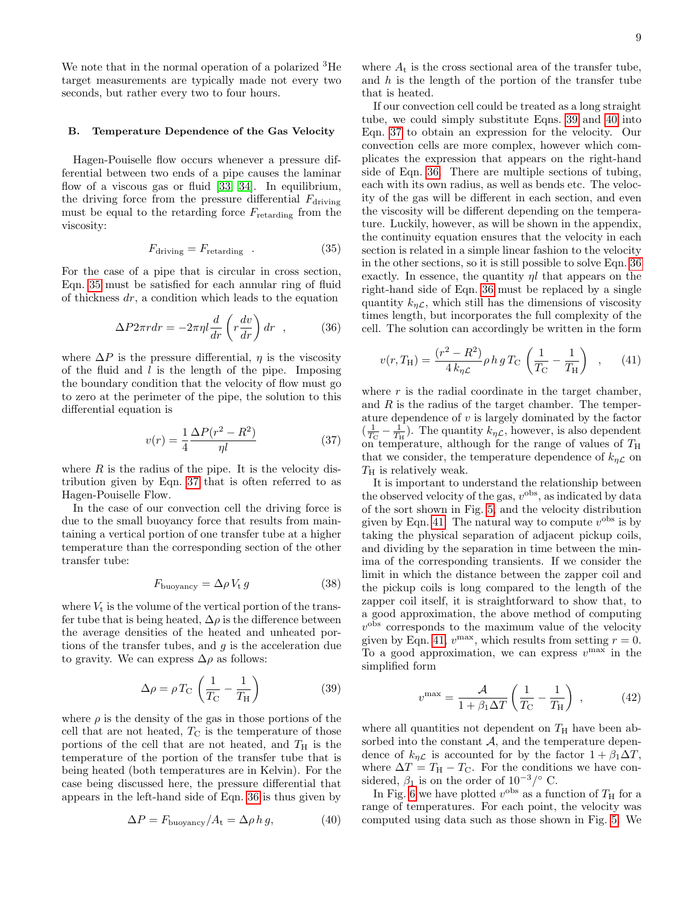We note that in the normal operation of a polarized <sup>3</sup>He target measurements are typically made not every two seconds, but rather every two to four hours.

#### B. Temperature Dependence of the Gas Velocity

Hagen-Pouiselle flow occurs whenever a pressure differential between two ends of a pipe causes the laminar flow of a viscous gas or fluid [\[33,](#page-13-31) [34\]](#page-13-32). In equilibrium, the driving force from the pressure differential  $F_{\text{driving}}$ must be equal to the retarding force  $F_{\text{retarding}}$  from the viscosity:

<span id="page-8-0"></span>
$$
F_{\text{driving}} = F_{\text{retarding}} \quad . \tag{35}
$$

For the case of a pipe that is circular in cross section, Eqn. [35](#page-8-0) must be satisfied for each annular ring of fluid of thickness  $dr$ , a condition which leads to the equation

<span id="page-8-2"></span>
$$
\Delta P 2\pi r dr = -2\pi \eta l \frac{d}{dr} \left( r \frac{dv}{dr} \right) dr \quad , \tag{36}
$$

where  $\Delta P$  is the pressure differential,  $\eta$  is the viscosity of the fluid and  $l$  is the length of the pipe. Imposing the boundary condition that the velocity of flow must go to zero at the perimeter of the pipe, the solution to this differential equation is

<span id="page-8-1"></span>
$$
v(r) = \frac{1}{4} \frac{\Delta P(r^2 - R^2)}{\eta l} \tag{37}
$$

where  $R$  is the radius of the pipe. It is the velocity distribution given by Eqn. [37](#page-8-1) that is often referred to as Hagen-Pouiselle Flow.

In the case of our convection cell the driving force is due to the small buoyancy force that results from maintaining a vertical portion of one transfer tube at a higher temperature than the corresponding section of the other transfer tube:

$$
F_{\text{buoyancy}} = \Delta \rho V_{\text{t}} g \tag{38}
$$

where  $V_t$  is the volume of the vertical portion of the transfer tube that is being heated,  $\Delta \rho$  is the difference between the average densities of the heated and unheated portions of the transfer tubes, and  $g$  is the acceleration due to gravity. We can express  $\Delta \rho$  as follows:

<span id="page-8-3"></span>
$$
\Delta \rho = \rho T_{\rm C} \left( \frac{1}{T_{\rm C}} - \frac{1}{T_{\rm H}} \right) \tag{39}
$$

where  $\rho$  is the density of the gas in those portions of the cell that are not heated,  $T_{\rm C}$  is the temperature of those portions of the cell that are not heated, and  $T_H$  is the temperature of the portion of the transfer tube that is being heated (both temperatures are in Kelvin). For the case being discussed here, the pressure differential that appears in the left-hand side of Eqn. [36](#page-8-2) is thus given by

<span id="page-8-4"></span>
$$
\Delta P = F_{\text{buoyancy}} / A_{\text{t}} = \Delta \rho \, h \, g,\tag{40}
$$

where  $A_t$  is the cross sectional area of the transfer tube, and  $h$  is the length of the portion of the transfer tube that is heated.

If our convection cell could be treated as a long straight tube, we could simply substitute Eqns. [39](#page-8-3) and [40](#page-8-4) into Eqn. [37](#page-8-1) to obtain an expression for the velocity. Our convection cells are more complex, however which complicates the expression that appears on the right-hand side of Eqn. [36.](#page-8-2) There are multiple sections of tubing. each with its own radius, as well as bends etc. The velocity of the gas will be different in each section, and even the viscosity will be different depending on the temperature. Luckily, however, as will be shown in the appendix, the continuity equation ensures that the velocity in each section is related in a simple linear fashion to the velocity in the other sections, so it is still possible to solve Eqn. [36](#page-8-2) exactly. In essence, the quantity  $\eta l$  that appears on the right-hand side of Eqn. [36](#page-8-2) must be replaced by a single quantity  $k_{\eta\mathcal{L}}$ , which still has the dimensions of viscosity times length, but incorporates the full complexity of the cell. The solution can accordingly be written in the form

<span id="page-8-5"></span>
$$
v(r, T_{\rm H}) = \frac{(r^2 - R^2)}{4 k_{\eta C}} \rho h g T_{\rm C} \left(\frac{1}{T_{\rm C}} - \frac{1}{T_{\rm H}}\right) , \quad (41)
$$

where  $r$  is the radial coordinate in the target chamber, and  $R$  is the radius of the target chamber. The temperature dependence of  $v$  is largely dominated by the factor  $(\frac{1}{T_{\rm C}} - \frac{1}{T_{\rm H}})$ . The quantity  $k_{\eta} \mathcal{L}$ , however, is also dependent on temperature, although for the range of values of  $T_H$ that we consider, the temperature dependence of  $k_{\eta\mathcal{L}}$  on  $T_{\rm H}$  is relatively weak.

It is important to understand the relationship between the observed velocity of the gas,  $v^{\text{obs}}$ , as indicated by data of the sort shown in Fig. [5,](#page-7-1) and the velocity distribution given by Eqn. [41.](#page-8-5) The natural way to compute  $v^{\text{obs}}$  is by taking the physical separation of adjacent pickup coils, and dividing by the separation in time between the minima of the corresponding transients. If we consider the limit in which the distance between the zapper coil and the pickup coils is long compared to the length of the zapper coil itself, it is straightforward to show that, to a good approximation, the above method of computing  $v<sup>obs</sup>$  corresponds to the maximum value of the velocity given by Eqn. [41,](#page-8-5)  $v^{\text{max}}$ , which results from setting  $r = 0$ . To a good approximation, we can express  $v^{\max}$  in the simplified form

<span id="page-8-6"></span>
$$
v^{\max} = \frac{\mathcal{A}}{1 + \beta_1 \Delta T} \left( \frac{1}{T_{\rm C}} - \frac{1}{T_{\rm H}} \right) , \qquad (42)
$$

where all quantities not dependent on  $T<sub>H</sub>$  have been absorbed into the constant  $A$ , and the temperature dependence of  $k_{\eta\mathcal{L}}$  is accounted for by the factor  $1 + \beta_1 \Delta T$ , where  $\Delta T = T_{\rm H} - T_{\rm C}$ . For the conditions we have considered,  $\beta_1$  is on the order of 10<sup>-3</sup>/° C.

In Fig. [6](#page-9-0) we have plotted  $v^{\text{obs}}$  as a function of  $T_H$  for a range of temperatures. For each point, the velocity was computed using data such as those shown in Fig. [5.](#page-7-1) We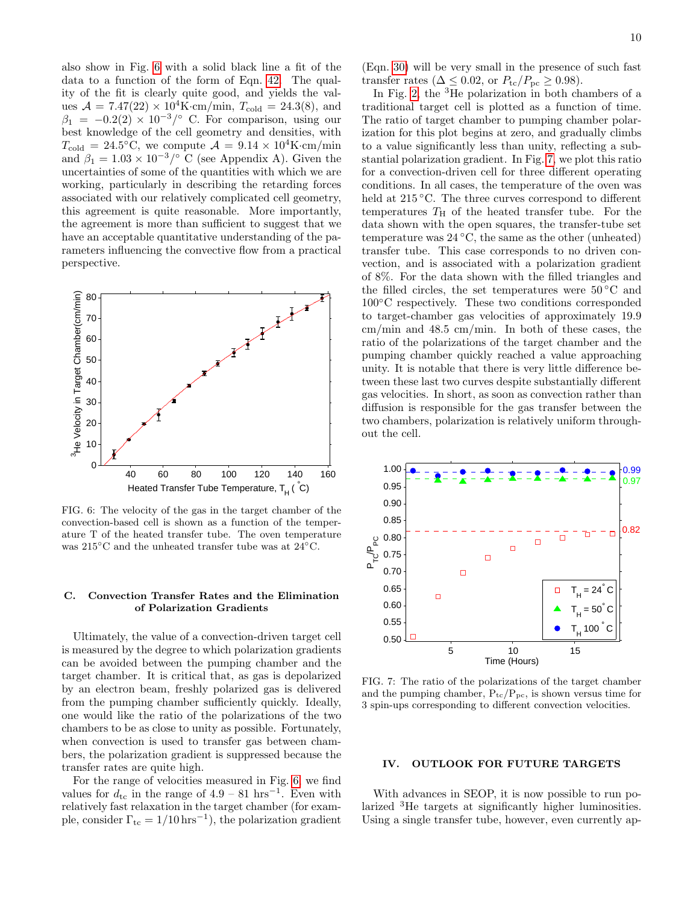also show in Fig. [6](#page-9-0) with a solid black line a fit of the data to a function of the form of Eqn. [42.](#page-8-6) The quality of the fit is clearly quite good, and yields the values  $A = 7.47(22) \times 10^4$ K·cm/min,  $T_{\text{cold}} = 24.3(8)$ , and  $\beta_1 = -0.2(2) \times 10^{-3} / \text{°}$  C. For comparison, using our best knowledge of the cell geometry and densities, with  $T_{\text{cold}} = 24.5^{\circ}\text{C}$ , we compute  $\mathcal{A} = 9.14 \times 10^4\text{K} \cdot \text{cm/min}$ and  $\beta_1 = 1.03 \times 10^{-3} / \text{°}$  C (see Appendix A). Given the uncertainties of some of the quantities with which we are working, particularly in describing the retarding forces associated with our relatively complicated cell geometry, this agreement is quite reasonable. More importantly, the agreement is more than sufficient to suggest that we have an acceptable quantitative understanding of the parameters influencing the convective flow from a practical perspective.



<span id="page-9-0"></span>FIG. 6: The velocity of the gas in the target chamber of the convection-based cell is shown as a function of the temperature T of the heated transfer tube. The oven temperature was 215◦C and the unheated transfer tube was at 24◦C.

## C. Convection Transfer Rates and the Elimination of Polarization Gradients

Ultimately, the value of a convection-driven target cell is measured by the degree to which polarization gradients can be avoided between the pumping chamber and the target chamber. It is critical that, as gas is depolarized by an electron beam, freshly polarized gas is delivered from the pumping chamber sufficiently quickly. Ideally, one would like the ratio of the polarizations of the two chambers to be as close to unity as possible. Fortunately, when convection is used to transfer gas between chambers, the polarization gradient is suppressed because the transfer rates are quite high.

For the range of velocities measured in Fig. [6,](#page-9-0) we find values for  $d_{\text{tc}}$  in the range of 4.9 – 81 hrs<sup>-1</sup>. Even with relatively fast relaxation in the target chamber (for example, consider  $\Gamma_{\text{tc}} = 1/10 \,\text{hrs}^{-1}$ , the polarization gradient

(Eqn. [30\)](#page-5-4) will be very small in the presence of such fast transfer rates ( $\Delta \leq 0.02$ , or  $P_{\text{tc}}/P_{\text{pc}} \geq 0.98$ ).

In Fig. [2,](#page-4-0) the  ${}^{3}$ He polarization in both chambers of a traditional target cell is plotted as a function of time. The ratio of target chamber to pumping chamber polarization for this plot begins at zero, and gradually climbs to a value significantly less than unity, reflecting a substantial polarization gradient. In Fig. [7,](#page-9-1) we plot this ratio for a convection-driven cell for three different operating conditions. In all cases, the temperature of the oven was held at 215 °C. The three curves correspond to different temperatures  $T_H$  of the heated transfer tube. For the data shown with the open squares, the transfer-tube set temperature was  $24\text{ °C}$ , the same as the other (unheated) transfer tube. This case corresponds to no driven convection, and is associated with a polarization gradient of 8%. For the data shown with the filled triangles and the filled circles, the set temperatures were  $50\,^{\circ}\text{C}$  and 100◦C respectively. These two conditions corresponded to target-chamber gas velocities of approximately 19.9 cm/min and 48.5 cm/min. In both of these cases, the ratio of the polarizations of the target chamber and the pumping chamber quickly reached a value approaching unity. It is notable that there is very little difference between these last two curves despite substantially different gas velocities. In short, as soon as convection rather than diffusion is responsible for the gas transfer between the two chambers, polarization is relatively uniform throughout the cell.



<span id="page-9-1"></span>FIG. 7: The ratio of the polarizations of the target chamber and the pumping chamber,  $P_{tc}/P_{pc}$ , is shown versus time for 3 spin-ups corresponding to different convection velocities.

## IV. OUTLOOK FOR FUTURE TARGETS

With advances in SEOP, it is now possible to run polarized <sup>3</sup>He targets at significantly higher luminosities. Using a single transfer tube, however, even currently ap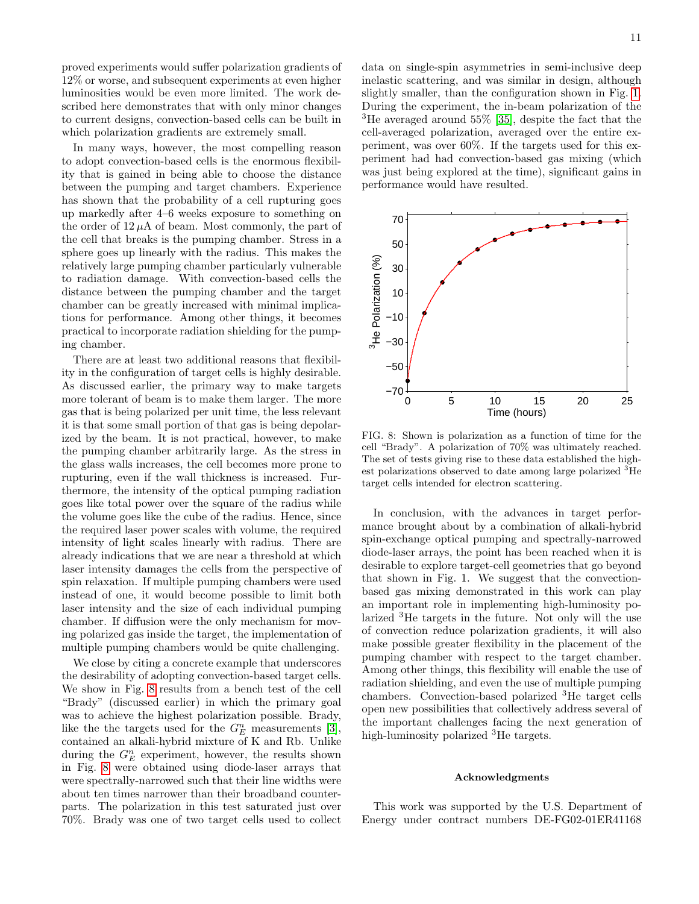proved experiments would suffer polarization gradients of 12% or worse, and subsequent experiments at even higher luminosities would be even more limited. The work described here demonstrates that with only minor changes to current designs, convection-based cells can be built in which polarization gradients are extremely small.

In many ways, however, the most compelling reason to adopt convection-based cells is the enormous flexibility that is gained in being able to choose the distance between the pumping and target chambers. Experience has shown that the probability of a cell rupturing goes up markedly after 4–6 weeks exposure to something on the order of  $12 \mu A$  of beam. Most commonly, the part of the cell that breaks is the pumping chamber. Stress in a sphere goes up linearly with the radius. This makes the relatively large pumping chamber particularly vulnerable to radiation damage. With convection-based cells the distance between the pumping chamber and the target chamber can be greatly increased with minimal implications for performance. Among other things, it becomes practical to incorporate radiation shielding for the pumping chamber.

There are at least two additional reasons that flexibility in the configuration of target cells is highly desirable. As discussed earlier, the primary way to make targets more tolerant of beam is to make them larger. The more gas that is being polarized per unit time, the less relevant it is that some small portion of that gas is being depolarized by the beam. It is not practical, however, to make the pumping chamber arbitrarily large. As the stress in the glass walls increases, the cell becomes more prone to rupturing, even if the wall thickness is increased. Furthermore, the intensity of the optical pumping radiation goes like total power over the square of the radius while the volume goes like the cube of the radius. Hence, since the required laser power scales with volume, the required intensity of light scales linearly with radius. There are already indications that we are near a threshold at which laser intensity damages the cells from the perspective of spin relaxation. If multiple pumping chambers were used instead of one, it would become possible to limit both laser intensity and the size of each individual pumping chamber. If diffusion were the only mechanism for moving polarized gas inside the target, the implementation of multiple pumping chambers would be quite challenging.

We close by citing a concrete example that underscores the desirability of adopting convection-based target cells. We show in Fig. [8](#page-10-0) results from a bench test of the cell "Brady" (discussed earlier) in which the primary goal was to achieve the highest polarization possible. Brady, like the the targets used for the  $G_E^n$  measurements [\[3\]](#page-13-2), contained an alkali-hybrid mixture of K and Rb. Unlike during the  $G_E^n$  experiment, however, the results shown in Fig. [8](#page-10-0) were obtained using diode-laser arrays that were spectrally-narrowed such that their line widths were about ten times narrower than their broadband counterparts. The polarization in this test saturated just over 70%. Brady was one of two target cells used to collect data on single-spin asymmetries in semi-inclusive deep inelastic scattering, and was similar in design, although slightly smaller, than the configuration shown in Fig. [1.](#page-1-0) During the experiment, the in-beam polarization of the <sup>3</sup>He averaged around 55% [\[35\]](#page-13-33), despite the fact that the cell-averaged polarization, averaged over the entire experiment, was over 60%. If the targets used for this experiment had had convection-based gas mixing (which was just being explored at the time), significant gains in performance would have resulted.



<span id="page-10-0"></span>FIG. 8: Shown is polarization as a function of time for the cell "Brady". A polarization of 70% was ultimately reached. The set of tests giving rise to these data established the highest polarizations observed to date among large polarized <sup>3</sup>He target cells intended for electron scattering.

In conclusion, with the advances in target performance brought about by a combination of alkali-hybrid spin-exchange optical pumping and spectrally-narrowed diode-laser arrays, the point has been reached when it is desirable to explore target-cell geometries that go beyond that shown in Fig. 1. We suggest that the convectionbased gas mixing demonstrated in this work can play an important role in implementing high-luminosity polarized <sup>3</sup>He targets in the future. Not only will the use of convection reduce polarization gradients, it will also make possible greater flexibility in the placement of the pumping chamber with respect to the target chamber. Among other things, this flexibility will enable the use of radiation shielding, and even the use of multiple pumping chambers. Convection-based polarized <sup>3</sup>He target cells open new possibilities that collectively address several of the important challenges facing the next generation of high-luminosity polarized <sup>3</sup>He targets.

## Acknowledgments

This work was supported by the U.S. Department of Energy under contract numbers DE-FG02-01ER41168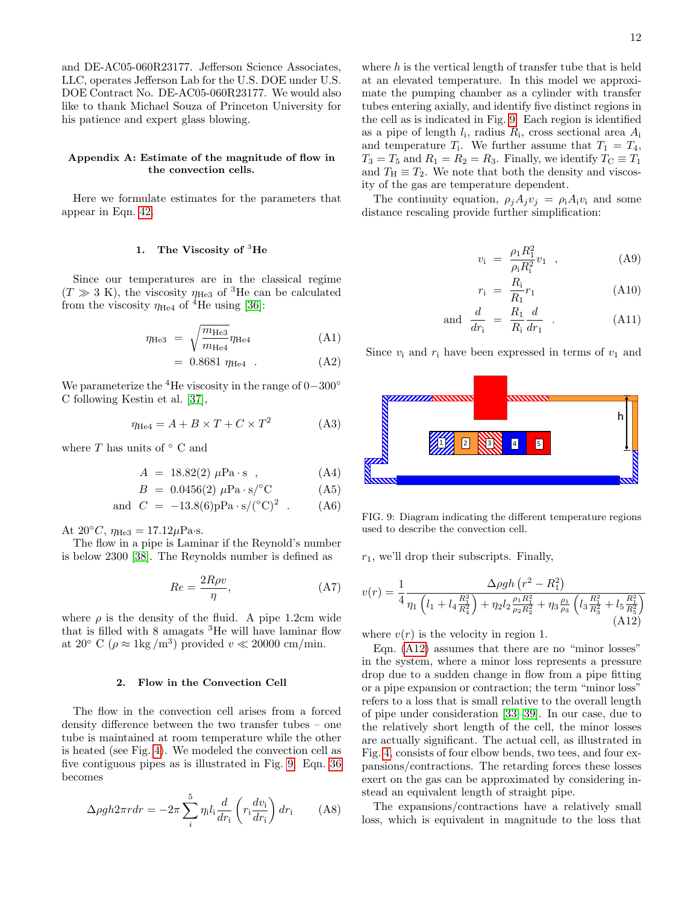and DE-AC05-060R23177. Jefferson Science Associates, LLC, operates Jefferson Lab for the U.S. DOE under U.S. DOE Contract No. DE-AC05-060R23177. We would also like to thank Michael Souza of Princeton University for his patience and expert glass blowing.

## Appendix A: Estimate of the magnitude of flow in the convection cells.

Here we formulate estimates for the parameters that appear in Eqn. [42.](#page-8-6)

### 1. The Viscosity of  ${}^{3}$ He

Since our temperatures are in the classical regime  $(T \gg 3 \text{ K})$ , the viscosity  $\eta_{\text{He}3}$  of <sup>3</sup>He can be calculated from the viscosity  $\eta_{\text{He}4}$  of <sup>4</sup>He using [\[36\]](#page-13-34):

$$
\eta_{\text{He3}} = \sqrt{\frac{m_{\text{He3}}}{m_{\text{He4}}}} \eta_{\text{He4}} \tag{A1}
$$

 $= 0.8681 \eta_{\text{He4}}$  (A2)

We parameterize the <sup>4</sup>He viscosity in the range of  $0-300°$ C following Kestin et al. [\[37\]](#page-13-35),

$$
\eta_{\text{He4}} = A + B \times T + C \times T^2 \tag{A3}
$$

where  $T$  has units of  $^{\circ}$  C and

$$
A = 18.82(2) \ \mu \text{Pa} \cdot \text{s} \quad , \tag{A4}
$$

$$
B = 0.0456(2) \ \mu \text{Pa} \cdot \text{s} / ^{\circ} \text{C}
$$
 (A5)

and 
$$
C = -13.8(6)pPa \cdot s/(^{\circ}C)^{2}
$$
. (A6)

At  $20^{\circ}C$ ,  $\eta_{\text{He}3} = 17.12 \mu \text{Pa} \cdot \text{s}$ .

The flow in a pipe is Laminar if the Reynold's number is below 2300 [\[38\]](#page-13-36). The Reynolds number is defined as

$$
Re = \frac{2R\rho v}{\eta},\tag{A7}
$$

where  $\rho$  is the density of the fluid. A pipe 1.2cm wide that is filled with 8 amagats  ${}^{3}$ He will have laminar flow at 20 $\degree$  C ( $\rho \approx 1 \text{kg/m}^3$ ) provided  $v \ll 20000 \text{ cm/min}$ .

#### 2. Flow in the Convection Cell

The flow in the convection cell arises from a forced density difference between the two transfer tubes – one tube is maintained at room temperature while the other is heated (see Fig. [4\)](#page-7-0). We modeled the convection cell as five contiguous pipes as is illustrated in Fig. [9.](#page-11-0) Eqn. [36](#page-8-2) becomes

$$
\Delta \rho g h 2\pi r dr = -2\pi \sum_{i}^{5} \eta_i l_i \frac{d}{dr_i} \left( r_i \frac{dv_i}{dr_i} \right) dr_i \tag{A8}
$$

where  $h$  is the vertical length of transfer tube that is held at an elevated temperature. In this model we approximate the pumping chamber as a cylinder with transfer tubes entering axially, and identify five distinct regions in the cell as is indicated in Fig. [9.](#page-11-0) Each region is identified as a pipe of length  $l_i$ , radius  $R_i$ , cross sectional area  $A_i$ and temperature  $T_1$ . We further assume that  $T_1 = T_4$ ,  $T_3 = T_5$  and  $R_1 = R_2 = R_3$ . Finally, we identify  $T_{\rm C} \equiv T_1$ and  $T_{\rm H} \equiv T_2$ . We note that both the density and viscosity of the gas are temperature dependent.

The continuity equation,  $\rho_j A_j v_j = \rho_i A_i v_i$  and some distance rescaling provide further simplification:

$$
v_{\rm i} = \frac{\rho_1 R_1^2}{\rho_{\rm i} R_{\rm i}^2} v_1 \quad , \tag{A9}
$$

$$
r_{\rm i} = \frac{R_{\rm i}}{R_{\rm 1}} r_{\rm 1} \tag{A10}
$$

and 
$$
\frac{d}{dr_i} = \frac{R_1}{R_i} \frac{d}{dr_1}
$$
. (A11)

Since  $v_i$  and  $r_i$  have been expressed in terms of  $v_1$  and



<span id="page-11-0"></span>FIG. 9: Diagram indicating the different temperature regions used to describe the convection cell.

 $r_1$ , we'll drop their subscripts. Finally,

<span id="page-11-1"></span>
$$
v(r) = \frac{1}{4} \frac{\Delta \rho g h \left(r^2 - R_1^2\right)}{\eta_1 \left(l_1 + l_4 \frac{R_1^2}{R_4^2}\right) + \eta_2 l_2 \frac{\rho_1 R_1^2}{\rho_2 R_2^2} + \eta_3 \frac{\rho_1}{\rho_3} \left(l_3 \frac{R_1^2}{R_3^2} + l_5 \frac{R_1^2}{R_5^2}\right)} \tag{A12}
$$

where  $v(r)$  is the velocity in region 1.

Eqn. [\(A12\)](#page-11-1) assumes that there are no "minor losses" in the system, where a minor loss represents a pressure drop due to a sudden change in flow from a pipe fitting or a pipe expansion or contraction; the term "minor loss" refers to a loss that is small relative to the overall length of pipe under consideration [\[33,](#page-13-31) [39\]](#page-13-37). In our case, due to the relatively short length of the cell, the minor losses are actually significant. The actual cell, as illustrated in Fig. [4,](#page-7-0) consists of four elbow bends, two tees, and four expansions/contractions. The retarding forces these losses exert on the gas can be approximated by considering instead an equivalent length of straight pipe.

The expansions/contractions have a relatively small loss, which is equivalent in magnitude to the loss that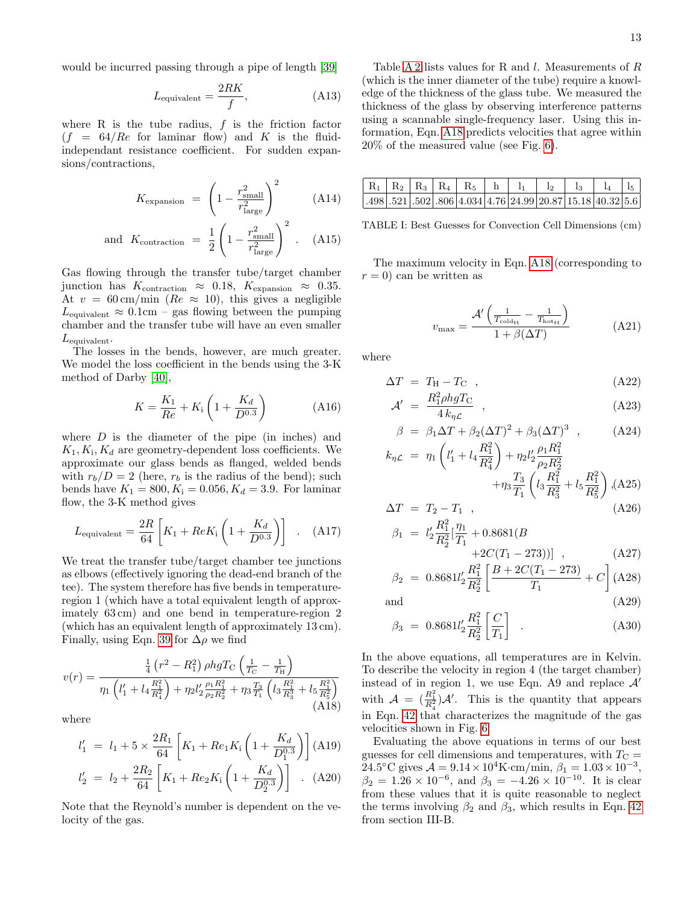would be incurred passing through a pipe of length [\[39\]](#page-13-37)

$$
L_{\text{equivalent}} = \frac{2RK}{f},\tag{A13}
$$

where R is the tube radius,  $f$  is the friction factor  $(f = 64/Re$  for laminar flow) and K is the fluidindependant resistance coefficient. For sudden expansions/contractions,

$$
K_{\text{expansion}} = \left(1 - \frac{r_{\text{small}}^2}{r_{\text{large}}^2}\right)^2 \tag{A14}
$$

and 
$$
K_{\text{contraction}} = \frac{1}{2} \left( 1 - \frac{r_{\text{small}}^2}{r_{\text{large}}^2} \right)^2
$$
. (A15)

Gas flowing through the transfer tube/target chamber junction has  $K_{\text{contraction}} \approx 0.18$ ,  $K_{\text{expansion}} \approx 0.35$ . At  $v = 60 \,\mathrm{cm/min}$  ( $Re \approx 10$ ), this gives a negligible  $L_{\text{equivalent}} \approx 0.1 \text{cm} - \text{gas}$  flowing between the pumping chamber and the transfer tube will have an even smaller  $L_{\text{equivalent}}$ .

The losses in the bends, however, are much greater. We model the loss coefficient in the bends using the 3-K method of Darby [\[40\]](#page-13-38),

$$
K = \frac{K_1}{Re} + K_1 \left( 1 + \frac{K_d}{D^{0.3}} \right) \tag{A16}
$$

where  $D$  is the diameter of the pipe (in inches) and  $K_1, K_i, K_d$  are geometry-dependent loss coefficients. We approximate our glass bends as flanged, welded bends with  $r_b/D = 2$  (here,  $r_b$  is the radius of the bend); such bends have  $K_1 = 800, K_i = 0.056, K_d = 3.9$ . For laminar flow, the 3-K method gives

$$
L_{\text{equivalent}} = \frac{2R}{64} \left[ K_1 + Re K_1 \left( 1 + \frac{K_d}{D^{0.3}} \right) \right] \quad . \quad \text{(A17)}
$$

We treat the transfer tube/target chamber tee junctions as elbows (effectively ignoring the dead-end branch of the tee). The system therefore has five bends in temperatureregion 1 (which have a total equivalent length of approximately 63 cm) and one bend in temperature-region 2 (which has an equivalent length of approximately 13 cm). Finally, using Eqn. [39](#page-8-3) for  $\Delta \rho$  we find

<span id="page-12-1"></span>
$$
v(r) = \frac{\frac{1}{4} \left(r^2 - R_1^2\right) \rho h g T_{\rm C} \left(\frac{1}{T_{\rm C}} - \frac{1}{T_{\rm H}}\right)}{\eta_1 \left(l_1' + l_4 \frac{R_1^2}{R_4^2}\right) + \eta_2 l_2' \frac{\rho_1 R_1^2}{\rho_2 R_2^2} + \eta_3 \frac{T_3}{T_1} \left(l_3 \frac{R_1^2}{R_3^3} + l_5 \frac{R_1^2}{R_5^2}\right)}{(A18)}
$$

where

$$
l'_1 = l_1 + 5 \times \frac{2R_1}{64} \left[ K_1 + Re_1 K_1 \left( 1 + \frac{K_d}{D_1^{0.3}} \right) \right] \text{(A19)}
$$
\n
$$
l'_2 = l_2 + \frac{2R_2}{64} \left[ K_1 + Re_2 K_1 \left( 1 + \frac{K_d}{D_2^{0.3}} \right) \right] \quad (A20)
$$

Note that the Reynold's number is dependent on the velocity of the gas.

Table [A 2](#page-12-0) lists values for R and  $l$ . Measurements of  $R$ (which is the inner diameter of the tube) require a knowledge of the thickness of the glass tube. We measured the thickness of the glass by observing interference patterns using a scannable single-frequency laser. Using this information, Eqn. [A18](#page-12-1) predicts velocities that agree within 20% of the measured value (see Fig. [6\)](#page-9-0).

|  |  |  | $R_1   R_2   R_3   R_4   R_5   h   l_1   l_2   l_3   l_4   l_5  $                                                                    |  |  |
|--|--|--|--------------------------------------------------------------------------------------------------------------------------------------|--|--|
|  |  |  | $\vert .498 \vert .521 \vert .502 \vert .806 \vert 4.034 \vert 4.76 \vert 24.99 \vert 20.87 \vert 15.18 \vert 40.32 \vert 5.6 \vert$ |  |  |

<span id="page-12-0"></span>TABLE I: Best Guesses for Convection Cell Dimensions (cm)

The maximum velocity in Eqn. [A18](#page-12-1) (corresponding to  $r = 0$ ) can be written as

$$
v_{\text{max}} = \frac{\mathcal{A}' \left( \frac{1}{T_{\text{cold}_{tt}}} - \frac{1}{T_{\text{hot}_{tt}}} \right)}{1 + \beta(\Delta T)}
$$
(A21)

where

$$
\Delta T = T_{\rm H} - T_{\rm C} \quad , \tag{A22}
$$

$$
\mathcal{A}' = \frac{R_1^2 \rho h g T_C}{4 k_{\eta \mathcal{L}}}, \qquad (A23)
$$

$$
\beta = \beta_1 \Delta T + \beta_2 (\Delta T)^2 + \beta_3 (\Delta T)^3 \quad , \tag{A24}
$$
\n
$$
\beta_1 \left( \frac{1}{1!} R_1^2 \right) + \beta_1 R_1^2
$$

$$
k_{\eta\mathcal{L}} = \eta_1 \left( l_1' + l_4 \frac{R_1}{R_4^2} \right) + \eta_2 l_2' \frac{\rho_1 R_1}{\rho_2 R_2^2} + \eta_3 \frac{T_3}{T_1} \left( l_3 \frac{R_1^2}{R_3^2} + l_5 \frac{R_1^2}{R_5^2} \right), \text{(A25)}
$$

$$
\Delta T = T_2 - T_1 , \qquad (A26)
$$

$$
\beta_1 = l'_2 \frac{R_1^2}{R_2^2} [\frac{\eta_1}{T_1} + 0.8681(B + 2C(T_1 - 273))], \qquad (A27)
$$

$$
\beta_2 = 0.8681 l_2' \frac{R_1^2}{R_2^2} \left[ \frac{B + 2C(T_1 - 273)}{T_1} + C \right] \text{(A28)}
$$

and (A29)

$$
\beta_3 = 0.8681 l_2' \frac{R_1^2}{R_2^2} \left[ \frac{C}{T_1} \right] \quad . \tag{A30}
$$

In the above equations, all temperatures are in Kelvin. To describe the velocity in region 4 (the target chamber) instead of in region 1, we use Eqn. A9 and replace  $\mathcal{A}'$ with  $\mathcal{A} = \left(\frac{R_1^2}{R_2^2}\right)\mathcal{A}'$ . This is the quantity that appears in Eqn. [42](#page-8-6) that characterizes the magnitude of the gas velocities shown in Fig. [6.](#page-9-0)

Evaluating the above equations in terms of our best guesses for cell dimensions and temperatures, with  $T_{\rm C} =$ 24.5°C gives  $A = 9.14 \times 10^4$ K·cm/min,  $\beta_1 = 1.03 \times 10^{-3}$ ,  $\beta_2 = 1.26 \times 10^{-6}$ , and  $\beta_3 = -4.26 \times 10^{-10}$ . It is clear from these values that it is quite reasonable to neglect the terms involving  $\beta_2$  and  $\beta_3$ , which results in Eqn. [42](#page-8-6) from section III-B.